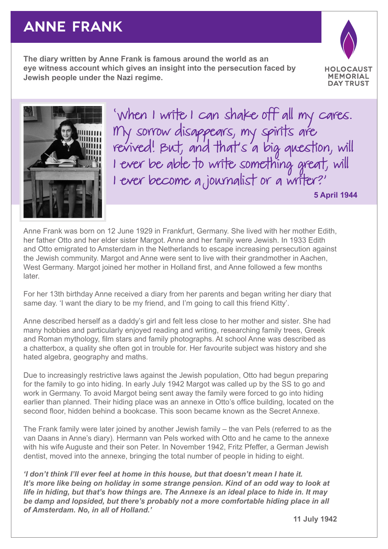## **ANNE FRANK**

**The diary written by Anne Frank is famous around the world as an eye witness account which gives an insight into the persecution faced by Jewish people under the Nazi regime.**





'When I write I can shake off all my cares. II IY sorrow disappears, my spirits are revived! But, and that's a big question, will I ever be able to write something great, will I ever become a journalist or a writer?'

**5 April 1944**

Anne Frank was born on 12 June 1929 in Frankfurt, Germany. She lived with her mother Edith, her father Otto and her elder sister Margot. Anne and her family were Jewish. In 1933 Edith and Otto emigrated to Amsterdam in the Netherlands to escape increasing persecution against the Jewish community. Margot and Anne were sent to live with their grandmother in Aachen, West Germany. Margot joined her mother in Holland first, and Anne followed a few months later.

For her 13th birthday Anne received a diary from her parents and began writing her diary that same day. 'I want the diary to be my friend, and I'm going to call this friend Kitty'.

Anne described herself as a daddy's girl and felt less close to her mother and sister. She had many hobbies and particularly enjoyed reading and writing, researching family trees, Greek and Roman mythology, film stars and family photographs. At school Anne was described as a chatterbox, a quality she often got in trouble for. Her favourite subject was history and she hated algebra, geography and maths.

Due to increasingly restrictive laws against the Jewish population, Otto had begun preparing for the family to go into hiding. In early July 1942 Margot was called up by the SS to go and work in Germany. To avoid Margot being sent away the family were forced to go into hiding earlier than planned. Their hiding place was an annexe in Otto's office building, located on the second floor, hidden behind a bookcase. This soon became known as the Secret Annexe.

The Frank family were later joined by another Jewish family – the van Pels (referred to as the van Daans in Anne's diary). Hermann van Pels worked with Otto and he came to the annexe with his wife Auguste and their son Peter. In November 1942, Fritz Pfeffer, a German Jewish dentist, moved into the annexe, bringing the total number of people in hiding to eight.

*'I don't think I'll ever feel at home in this house, but that doesn't mean I hate it. It's more like being on holiday in some strange pension. Kind of an odd way to look at life in hiding, but that's how things are. The Annexe is an ideal place to hide in. It may be damp and lopsided, but there's probably not a more comfortable hiding place in all of Amsterdam. No, in all of Holland.'*